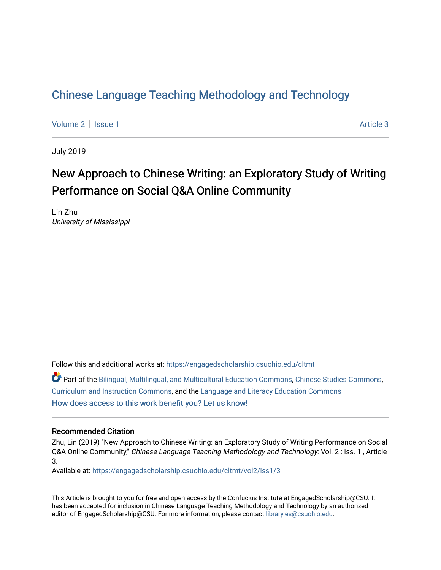## [Chinese Language Teaching Methodology and Technology](https://engagedscholarship.csuohio.edu/cltmt)

[Volume 2](https://engagedscholarship.csuohio.edu/cltmt/vol2) | [Issue 1](https://engagedscholarship.csuohio.edu/cltmt/vol2/iss1) Article 3

July 2019

## New Approach to Chinese Writing: an Exploratory Study of Writing Performance on Social Q&A Online Community

Lin Zhu University of Mississippi

Follow this and additional works at: [https://engagedscholarship.csuohio.edu/cltmt](https://engagedscholarship.csuohio.edu/cltmt?utm_source=engagedscholarship.csuohio.edu%2Fcltmt%2Fvol2%2Fiss1%2F3&utm_medium=PDF&utm_campaign=PDFCoverPages)

Part of the [Bilingual, Multilingual, and Multicultural Education Commons,](http://network.bepress.com/hgg/discipline/785?utm_source=engagedscholarship.csuohio.edu%2Fcltmt%2Fvol2%2Fiss1%2F3&utm_medium=PDF&utm_campaign=PDFCoverPages) [Chinese Studies Commons](http://network.bepress.com/hgg/discipline/1081?utm_source=engagedscholarship.csuohio.edu%2Fcltmt%2Fvol2%2Fiss1%2F3&utm_medium=PDF&utm_campaign=PDFCoverPages), [Curriculum and Instruction Commons,](http://network.bepress.com/hgg/discipline/786?utm_source=engagedscholarship.csuohio.edu%2Fcltmt%2Fvol2%2Fiss1%2F3&utm_medium=PDF&utm_campaign=PDFCoverPages) and the [Language and Literacy Education Commons](http://network.bepress.com/hgg/discipline/1380?utm_source=engagedscholarship.csuohio.edu%2Fcltmt%2Fvol2%2Fiss1%2F3&utm_medium=PDF&utm_campaign=PDFCoverPages) [How does access to this work benefit you? Let us know!](http://library.csuohio.edu/engaged/)

#### Recommended Citation

Zhu, Lin (2019) "New Approach to Chinese Writing: an Exploratory Study of Writing Performance on Social Q&A Online Community," Chinese Language Teaching Methodology and Technology: Vol. 2 : Iss. 1 , Article 3.

Available at: [https://engagedscholarship.csuohio.edu/cltmt/vol2/iss1/3](https://engagedscholarship.csuohio.edu/cltmt/vol2/iss1/3?utm_source=engagedscholarship.csuohio.edu%2Fcltmt%2Fvol2%2Fiss1%2F3&utm_medium=PDF&utm_campaign=PDFCoverPages)

This Article is brought to you for free and open access by the Confucius Institute at EngagedScholarship@CSU. It has been accepted for inclusion in Chinese Language Teaching Methodology and Technology by an authorized editor of EngagedScholarship@CSU. For more information, please contact [library.es@csuohio.edu](mailto:library.es@csuohio.edu).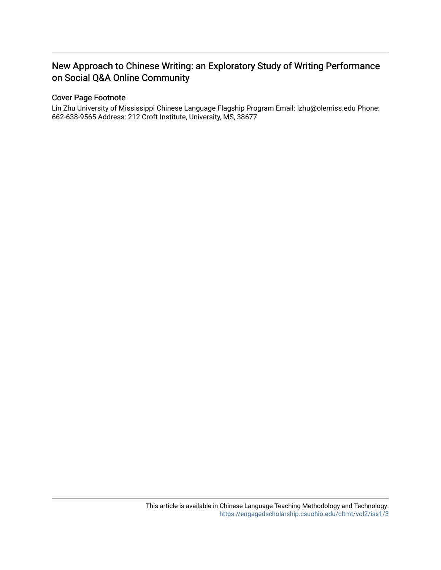## New Approach to Chinese Writing: an Exploratory Study of Writing Performance on Social Q&A Online Community

#### Cover Page Footnote

Lin Zhu University of Mississippi Chinese Language Flagship Program Email: lzhu@olemiss.edu Phone: 662-638-9565 Address: 212 Croft Institute, University, MS, 38677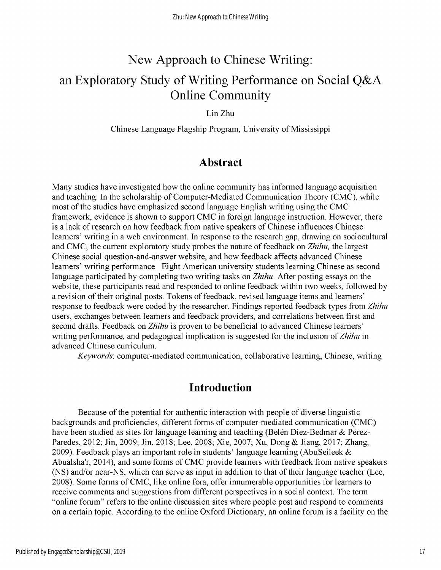# New Approach to Chinese Writing: an Exploratory Study of Writing Performance on Social Q&A Online Community

Lin Zhu

Chinese Language Flagship Program, University of Mississippi

### **Abstract**

Many studies have investigated how the online community has informed language acquisition and teaching. In the scholarship of Computer-Mediated Communication Theory (CMC), while most of the studies have emphasized second language English writing using the CMC framework, evidence is shown to support CMC in foreign language instruction. However, there is a lack of research on how feedback from native speakers of Chinese influences Chinese learners' writing in a web environment. In response to the research gap, drawing on sociocultural and CMC, the current exploratory study probes the nature of feedback on *Zhihu*, the largest Chinese social question-and-answer website, and how feedback affects advanced Chinese learners' writing performance. Eight American university students learning Chinese as second language participated by completing two writing tasks on *Zhihu.* After posting essays on the website, these participants read and responded to online feedback within two weeks, followed by a revision of their original posts. Tokens of feedback, revised language items and learners' response to feedback were coded by the researcher. Findings reported feedback types from *Zhihu* users, exchanges between learners and feedback providers, and correlations between first and second drafts. Feedback on *Zhihu* is proven to be beneficial to advanced Chinese learners' writing performance, and pedagogical implication is suggested for the inclusion of*Zhihu* in advanced Chinese curriculum.

*Keywords:* computer-mediated communication, collaborative learning, Chinese, writing

### **Introduction**

Because of the potential for authentic interaction with people of diverse linguistic backgrounds and proficiencies, different forms of computer-mediated communication (CMC) have been studied as sites for language learning and teaching (Belén Diez-Bedmar & Pérez-Paredes, 2012; Jin, 2009; Jin, 2018; Lee, 2008; Xie, 2007; Xu, Dong & Jiang, 2017; Zhang, 2009). Feedback plays an important role in students' language learning (AbuSeileek & Abualsha'r, 2014), and some forms of CMC provide learners with feedback from native speakers (NS) and/or near-NS, which can serve as input in addition to that of their language teacher (Lee, 2008). Some forms of CMC, like online fora, offer innumerable opportunities for learners to receive comments and suggestions from different perspectives in a social context. The term "online forum" refers to the online discussion sites where people post and respond to comments on a certain topic. According to the online Oxford Dictionary, an online forum is a facility on the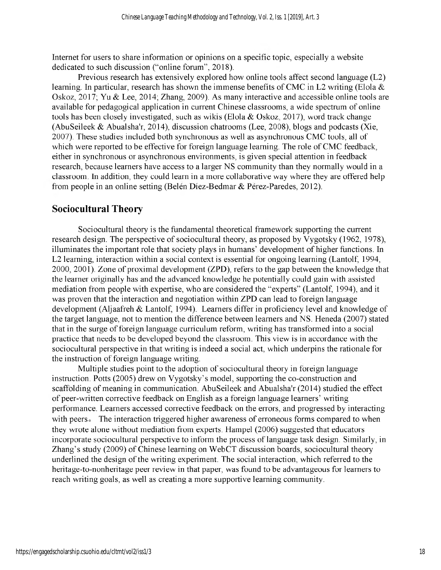Internet for users to share information or opinions on a specific topic, especially a website dedicated to such discussion ("online forum", 2018).

Previous research has extensively explored how online tools affect second language (L2) learning. In particular, research has shown the immense benefits of CMC in L2 writing (Elola  $\&$ Oskoz, 2017; Yu & Lee, 2014; Zhang, 2009). As many interactive and accessible online tools are available for pedagogical application in current Chinese classrooms, a wide spectrum of online tools has been closely investigated, such as wikis (Elola  $& Oskoz, 2017$ ), word track change (AbuSeileek & Abualsha'r, 2014), discussion chatrooms (Lee, 2008), blogs and podcasts (Xie, 2007). These studies included both synchronous as well as asynchronous CMC tools, all of which were reported to be effective for foreign language learning. The role of CMC feedback, either in synchronous or asynchronous environments, is given special attention in feedback research, because learners have access to a larger NS community than they normally would in a classroom. In addition, they could learn in a more collaborative way where they are offered help from people in an online setting (Belén Díez-Bedmar & Pérez-Paredes, 2012).

#### **Sociocultural Theory**

Sociocultural theory is the fundamental theoretical framework supporting the current research design. The perspective of sociocultural theory, as proposed by Vygotsky (1962, 1978), illuminates the important role that society plays in humans' development of higher functions. In L2 learning, interaction within a social context is essential for ongoing learning (Lantolf, 1994, 2000, 2001). Zone of proximal development (ZPD), refers to the gap between the knowledge that the learner originally has and the advanced knowledge he potentially could gain with assisted mediation from people with expertise, who are considered the "experts" (Lantolf, 1994), and it was proven that the interaction and negotiation within ZPD can lead to foreign language development (Aljaafreh & Lantolf, 1994). Learners differ in proficiency level and knowledge of the target language, not to mention the difference between learners and NS. Heneda (2007) stated that in the surge of foreign language curriculum reform, writing has transformed into a social practice that needs to be developed beyond the classroom. This view is in accordance with the sociocultural perspective in that writing is indeed a social act, which underpins the rationale for the instruction of foreign language writing.

Multiple studies point to the adoption of sociocultural theory in foreign language instruction. Potts (2005) drew on Vygotsky's model, supporting the co-construction and scaffolding of meaning in communication. AbuSeileek and Abualsha'r (2014) studied the effect of peer-written corrective feedback on English as a foreign language learners' writing performance. Learners accessed corrective feedback on the errors, and progressed by interacting with peers. The interaction triggered higher awareness of erroneous forms compared to when they wrote alone without mediation from experts. Hampel (2006) suggested that educators incorporate sociocultural perspective to inform the process of language task design. Similarly, in Zhang's study (2009) of Chinese learning on WebCT discussion boards, sociocultural theory underlined the design of the writing experiment. The social interaction, which referred to the heritage-to-nonheritage peer review in that paper, was found to be advantageous for learners to reach writing goals, as well as creating a more supportive learning community.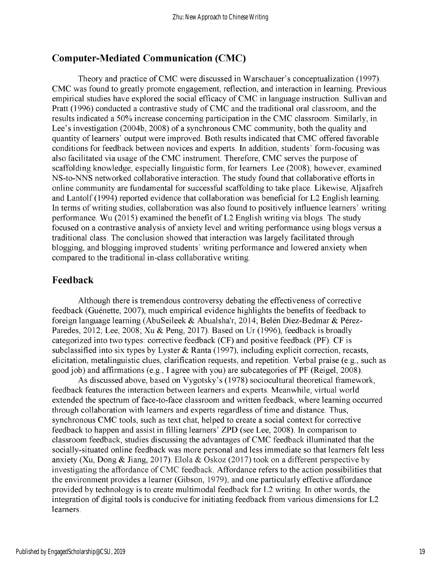### **Computer-Mediated Communication (CMC)**

Theory and practice of CMC were discussed in Warschauer's conceptualization (1997). CMC was found to greatly promote engagement, reflection, and interaction in learning. Previous empirical studies have explored the social efficacy of CMC in language instruction. Sullivan and Pratt (1996) conducted a contrastive study of CMC and the traditional oral classroom, and the results indicated a 50% increase concerning participation in the CMC classroom. Similarly, in Lee's investigation (2004b, 2008) of a synchronous CMC community, both the quality and quantity of learners' output were improved. Both results indicated that CMC offered favorable conditions for feedback between novices and experts. In addition, students' form-focusing was also facilitated via usage of the CMC instrument. Therefore, CMC serves the purpose of scaffolding knowledge, especially linguistic form, for learners. Lee (2008), however, examined NS-to-NNS networked collaborative interaction. The study found that collaborative efforts in online community are fundamental for successful scaffolding to take place. Likewise, Aljaafreh and Lantolf (1994) reported evidence that collaboration was beneficial for L2 English learning. In terms of writing studies, collaboration was also found to positively influence learners' writing performance. Wu (2015) examined the benefit of L2 English writing via blogs. The study focused on a contrastive analysis of anxiety level and writing performance using blogs versus a traditional class. The conclusion showed that interaction was largely facilitated through blogging, and blogging improved students' writing performance and lowered anxiety when compared to the traditional in-class collaborative writing.

#### **Feedback**

Although there is tremendous controversy debating the effectiveness of corrective feedback (Guenette, 2007), much empirical evidence highlights the benefits of feedback to foreign language learning (AbuSeileek & Abualsha'r, 2014; Belen Diez-Bedmar & Perez-Paredes, 2012; Lee, 2008; Xu & Peng, 2017). Based on Ur (1996), feedback is broadly categorized into two types: corrective feedback (CF) and positive feedback (PF). CF is subclassified into six types by Lyster & Ranta (1997), including explicit correction, recasts, elicitation, metalinguistic clues, clarification requests, and repetition. Verbal praise (e.g., such as good job) and affirmations (e.g., I agree with you) are subcategories of PF (Reigel, 2008).

As discussed above, based on Vygotsky's (1978) sociocultural theoretical framework, feedback features the interaction between learners and experts. Meanwhile, virtual world extended the spectrum of face-to-face classroom and written feedback, where learning occurred through collaboration with learners and experts regardless of time and distance. Thus, synchronous CMC tools, such as text chat, helped to create a social context for corrective feedback to happen and assist in filling learners' ZPD (see Lee, 2008). In comparison to classroom feedback, studies discussing the advantages of CMC feedback illuminated that the socially-situated online feedback was more personal and less immediate so that learners felt less anxiety (Xu, Dong & Jiang, 2017). Elola & Oskoz (2017) took on a different perspective by investigating the affordance of CMC feedback. Affordance refers to the action possibilities that the environment provides a learner (Gibson, 1979), and one particularly effective affordance provided by technology is to create multimodal feedback for L2 writing. In other words, the integration of digital tools is conducive for initiating feedback from various dimensions for L2 learners.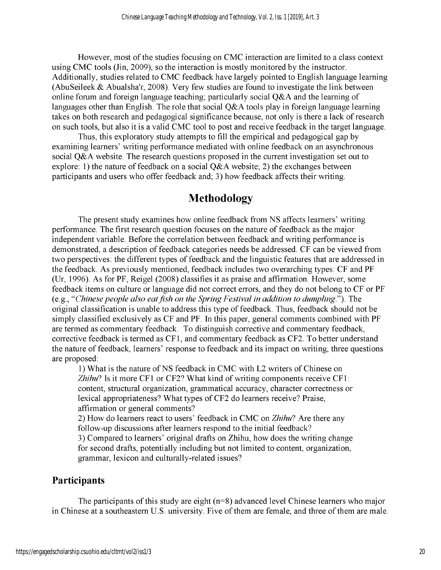However, most of the studies focusing on CMC interaction are limited to a class context using CMC tools (Jin, 2009), so the interaction is mostly monitored by the instructor. Additionally, studies related to CMC feedback have largely pointed to English language learning (AbuSeileek & Abualsha'r, 2008). Very few studies are found to investigate the link between online forum and foreign language teaching; particularly social Q&A and the learning of languages other than English. The role that social Q&A tools play in foreign language learning takes on both research and pedagogical significance because, not only is there a lack ofresearch on such tools, but also it is a valid CMC tool to post and receive feedback in the target language.

Thus, this exploratory study attempts to fill the empirical and pedagogical gap by examining learners' writing performance mediated with online feedback on an asynchronous social Q&A website. The research questions proposed in the current investigation set out to explore: 1) the nature of feedback on a social  $Q&A$  website; 2) the exchanges between participants and users who offer feedback and; 3) how feedback affects their writing.

## **Methodology**

The present study examines how online feedback from NS affects learners' writing performance. The first research question focuses on the nature of feedback as the major independent variable. Before the correlation between feedback and writing performance is demonstrated, a description of feedback categories needs be addressed. CF can be viewed from two perspectives: the different types of feedback and the linguistic features that are addressed in the feedback. As previously mentioned, feedback includes two overarching types: CF and PF (Ur, 1996). As for PF, Reigel (2008) classifies it as praise and affirmation. However, some feedback items on culture or language did not correct errors, and they do not belong to CF or PF (e.g., *Chinese people also eatfish on the SpringFestival in addition to dumpling.").* The original classification is unable to address this type of feedback. Thus, feedback should not be simply classified exclusively as CF and PF. In this paper, general comments combined with PF are termed as commentary feedback. To distinguish corrective and commentary feedback, corrective feedback is termed as CF1, and commentary feedback as CF2. To better understand the nature of feedback, learners' response to feedback and its impact on writing, three questions are proposed:

1) What is the nature of NS feedback in CMC with L2 writers of Chinese on *Zhihu?* Is it more CF1 or CF2? What kind of writing components receive CF1: content, structural organization, grammatical accuracy, character correctness or lexical appropriateness? What types of CF2 do learners receive? Praise, affirmation or general comments?

2) How do learners react to users' feedback in CMC on *Zhihu*? Are there any follow-up discussions after learners respond to the initial feedback?

3) Compared to learners' original drafts on Zhihu, how does the writing change for second drafts, potentially including but not limited to content, organization, grammar, lexicon and culturally-related issues?

### **Participants**

The participants of this study are eight  $(n=8)$  advanced level Chinese learners who major in Chinese at a southeastern U.S. university. Five of them are female, and three of them are male.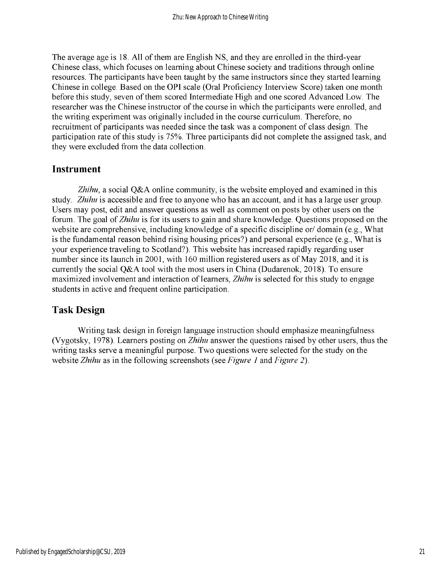The average age is 18. All of them are English NS, and they are enrolled in the third-year Chinese class, which focuses on learning about Chinese society and traditions through online resources. The participants have been taught by the same instructors since they started learning Chinese in college. Based on the OPI scale (Oral Proficiency Interview Score) taken one month before this study, seven of them scored Intermediate High and one scored Advanced Low. The researcher was the Chinese instructor of the course in which the participants were enrolled, and the writing experiment was originally included in the course curriculum. Therefore, no recruitment of participants was needed since the task was a component of class design. The participation rate of this study is 75%. Three participants did not complete the assigned task, and they were excluded from the data collection.

#### **Instrument**

*Zhihu,* a social Q&A online community, is the website employed and examined in this study. *Zhihu* is accessible and free to anyone who has an account, and it has a large user group. Users may post, edit and answer questions as well as comment on posts by other users on the forum. The goal of*Zhihu* is for its users to gain and share knowledge. Questions proposed on the website are comprehensive, including knowledge of a specific discipline or/ domain (e.g., What is the fundamental reason behind rising housing prices?) and personal experience (e.g., What is your experience traveling to Scotland?). This website has increased rapidly regarding user number since its launch in 2001, with 160 million registered users as of May 2018, and it is currently the social Q&A tool with the most users in China (Dudarenok, 2018). To ensure maximized involvement and interaction of learners, *Zhihu* is selected for this study to engage students in active and frequent online participation.

#### **Task Design**

Writing task design in foreign language instruction should emphasize meaningfulness (Vygotsky, 1978). Learners posting on *Zhihu* answer the questions raised by other users, thus the writing tasks serve a meaningful purpose. Two questions were selected for the study on the website *Zhihu* as in the following screenshots (see *Figure 1* and *Figure 2).*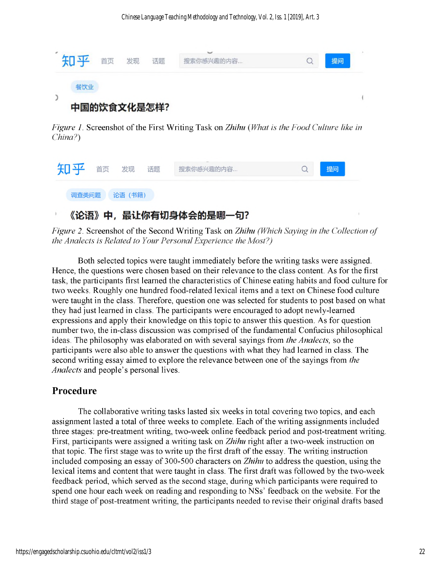

*Figure 1.* Screenshot ofthe First Writing Task on *Zhihu (What is the Food Culture like in China?)*

| 知乎 首页 发现 |         | 话题 | 搜索你感兴趣的内容 | 提问 |
|----------|---------|----|-----------|----|
| 调查类问题    | 论语 (书籍) |    |           |    |

## 《论语》中,最让你有切身体会的是哪一句?

*Figure* 2. Screenshot of the Second Writing Task on *Zhihu (Which Saying in the Collection of the Analects is Related to Your PersonalExperience the Most?)*

Both selected topics were taught immediately before the writing tasks were assigned. Hence, the questions were chosen based on their relevance to the class content. As for the first task, the participants first learned the characteristics of Chinese eating habits and food culture for two weeks. Roughly one hundred food-related lexical items and a text on Chinese food culture were taught in the class. Therefore, question one was selected for students to post based on what they had just learned in class. The participants were encouraged to adopt newly-learned expressions and apply their knowledge on this topic to answer this question. As for question number two, the in-class discussion was comprised of the fundamental Confucius philosophical ideas. The philosophy was elaborated on with several sayings from *the Analects,* so the participants were also able to answer the questions with what they had learned in class. The second writing essay aimed to explore the relevance between one of the sayings from *the Analects* and people's personal lives.

## **Procedure**

The collaborative writing tasks lasted six weeks in total covering two topics, and each assignment lasted a total of three weeks to complete. Each of the writing assignments included three stages: pre-treatment writing, two-week online feedback period and post-treatment writing. First, participants were assigned a writing task on *Zhihu* right after a two-week instruction on that topic. The first stage was to write up the first draft of the essay. The writing instruction included composing an essay of 300-500 characters on *Zhihu* to address the question, using the lexical items and content that were taught in class. The first draft was followed by the two-week feedback period, which served as the second stage, during which participants were required to spend one hour each week on reading and responding to NSs' feedback on the website. For the third stage of post-treatment writing, the participants needed to revise their original drafts based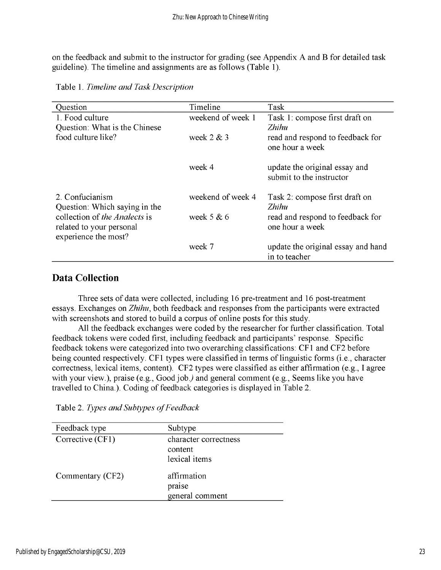on the feedback and submit to the instructor for grading (see Appendix A and B for detailed task guideline). The timeline and assignments are as follows (Table 1).

| Question                      | Timeline          | Task                               |  |
|-------------------------------|-------------------|------------------------------------|--|
| 1. Food culture               | weekend of week 1 | Task 1: compose first draft on     |  |
| Question: What is the Chinese |                   | Zhihu                              |  |
| food culture like?            | week $2 & 3$      | read and respond to feedback for   |  |
|                               |                   | one hour a week                    |  |
|                               |                   |                                    |  |
|                               | week 4            | update the original essay and      |  |
|                               |                   | submit to the instructor           |  |
| 2. Confucianism               | weekend of week 4 | Task 2: compose first draft on     |  |
| Question: Which saying in the |                   | <i>Zhihu</i>                       |  |
| collection of the Analects is | week $5 & 6$      | read and respond to feedback for   |  |
| related to your personal      |                   | one hour a week                    |  |
| experience the most?          |                   |                                    |  |
|                               | week 7            | update the original essay and hand |  |
|                               |                   | in to teacher                      |  |

Table 1. *Timeline and Task Description*

#### **Data Collection**

Three sets of data were collected, including 16 pre-treatment and 16 post-treatment essays. Exchanges on *Zhihu,* both feedback and responses from the participants were extracted with screenshots and stored to build a corpus of online posts for this study.

All the feedback exchanges were coded by the researcher for further classification. Total feedback tokens were coded first, including feedback and participants' response. Specific feedback tokens were categorized into two overarching classifications: CF1 and CF2 before being counted respectively. CF1 types were classified in terms of linguistic forms (i.e., character correctness, lexical items, content). CF2 types were classified as either affirmation (e.g., I agree with your view.), praise (e.g., Good job.) and general comment (e.g., Seems like you have travelled to China.). Coding of feedback categories is displayed in Table 2.

| Feedback type    | Subtype               |  |
|------------------|-----------------------|--|
| Corrective (CF1) | character correctness |  |
|                  | content               |  |
|                  | lexical items         |  |
| Commentary (CF2) | affirmation<br>praise |  |
|                  | general comment       |  |

Table 2. *Types and Subtypes ofFeedback*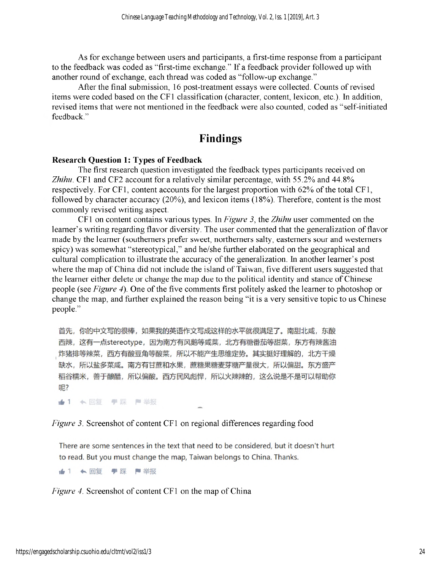As for exchange between users and participants, a first-time response from a participant to the feedback was coded as "first-time exchange." If a feedback provider followed up with another round of exchange, each thread was coded as "follow-up exchange."

After the final submission, 16 post-treatment essays were collected. Counts of revised items were coded based on the CF1 classification (character, content, lexicon, etc.). In addition, revised items that were not mentioned in the feedback were also counted, coded as "self-initiated feedback."

## **Findings**

#### **Research Question 1: Types of Feedback**

The first research question investigated the feedback types participants received on *Zhihu.* CF1 and CF2 account for a relatively similar percentage, with 55.2% and 44.8% respectively. For CF1, content accounts for the largest proportion with  $62\%$  of the total CF1, followed by character accuracy (20%), and lexicon items (18%). Therefore, content is the most commonly revised writing aspect.

CF1 on content contains various types. In *Figure 3,* the *Zhihu* user commented on the learner's writing regarding flavor diversity. The user commented that the generalization of flavor made by the learner (southerners prefer sweet, northerners salty, easterners sour and westerners spicy) was somewhat "stereotypical," and he/she further elaborated on the geographical and cultural complication to illustrate the accuracy of the generalization. In another learner's post where the map of China did not include the island of Taiwan, five different users suggested that the learner either delete or change the map due to the political identity and stance of Chinese people (see *Figure 4*). One of the five comments first politely asked the learner to photoshop or change the map, and further explained the reason being "it is a very sensitive topic to us Chinese people."

首先,你的中文写的很棒,如果我的英语作文写成这样的水平就很满足了。南甜北咸,东酸 西辣,这有一点stereotype,因为南方有风鹅等咸菜,北方有糖番茄等甜菜,东方有辣酱油 炸猪排等辣菜,西方有酸豆角等酸菜,所以不能产生思维定势。其实挺好理解的,北方干燥 缺水,所以盐多菜咸。南方有甘蔗和水果,蔗糖果糖麦芽糖产量很大,所以偏甜。东方盛产 稻谷糯米,善于酿醋,所以偏酸。西方民风彪悍,所以火辣辣的,这么说是不是可以帮助你 呢?

★1 <回复 ♥踩 ■举报

#### *Figure 3.* Screenshot of content CF1 on regional differences regarding food

There are some sentences in the text that need to be considered, but it doesn't hurt to read. But you must change the map, Taiwan belongs to China. Thanks.

★1 ←回复 ♥踩 ■举报

*Figure 4.* Screenshot of content CF1 on the map of China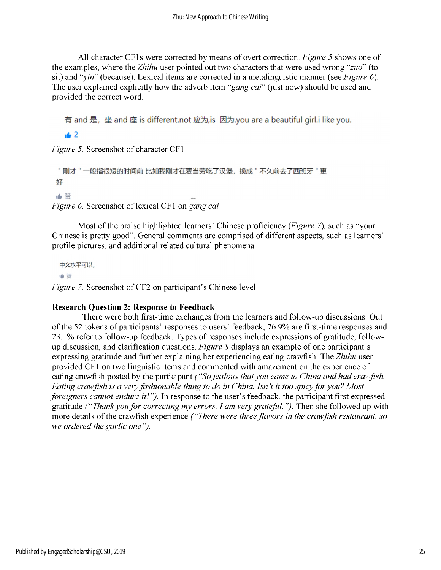All character CF1s were corrected by means of overt correction. *Figure 5* shows one of the examples, where the *Zhihu* user pointed out two characters that were used wrong *"zuo"* (to sit) and "*yin*" (because). Lexical items are corrected in a metalinguistic manner (see *Figure 6*). The user explained explicitly how the adverb item "*gang cai*" (just now) should be used and provided the correct word.

有 and 是, 坐 and 座 is different.not 应为,is 因为.you are a beautiful girl.i like you.

 $\pm 2$ 

*Figure 5.* Screenshot of character CF1

```
"刚才"一般指很短的时间前比如我刚才在麦当劳吃了汉堡,换成"不久前去了西班牙"更
好
山猫
```
*Figure* 6. Screenshot of lexical CF1 on *gang cai* 

Most of the praise highlighted learners' Chinese proficiency *(Figure 7)*, such as "your Chinese is pretty good". General comments are comprised of different aspects, such as learners' profile pictures, and additional related cultural phenomena.

中文水平可以。 ■ 赞 *Figure 7.* Screenshot of CF2 on participant's Chinese level

#### **Research Question 2: Response to Feedback**

There were both first-time exchanges from the learners and follow-up discussions. Out of the 52 tokens of participants' responses to users' feedback, 76.9% are first-time responses and 23.1% refer to follow-up feedback. Types of responses include expressions of gratitude, followdiscussion, and clarification questions. *Figure 8* displays an example of one participant's expressing gratitude and further explaining her experiencing eating crawfish. The *Zhihu* user provided CF1 on two linguistic items and commented with amazement on the experience of eating crawfish posted by the participant *("Sojealous thatyou came to China and had crawfish. Eating crawfish is a veryfashionable thing to do in China. Isn't it too spicyfor you? Most foreigners cannot endure it! ").* In response to the user's feedback, the participant first expressed gratitude *("Thankyoufor correcting my errors. I am very grateful.").* Then she followed up with more details ofthe crawfish experience *("There were threeflavors in the crawfish restaurant, so we ordered the garlic one ").*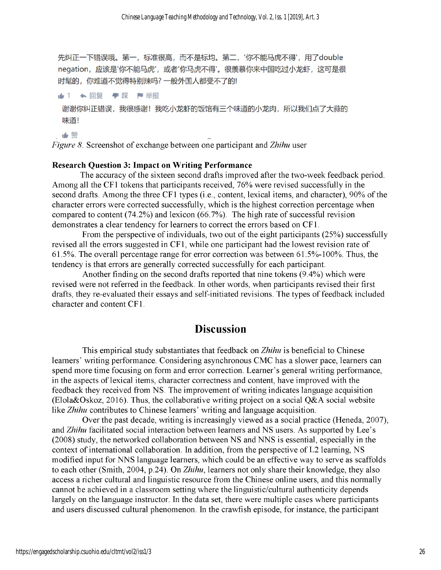先纠正一下错误哦。第一,标准很高,而不是标均。第二,'你不能马虎不得',用了double negation, 应该是'你不能马虎', 或者'你马虎不得'。很羡慕你来中国吃过小龙虾, 这可是很 时髦的,你难道不觉得特别辣吗?一般外国人都受不了的!

▲1 ← 回复 ♥ 踩 門举报 谢谢你纠正错误,我很感谢!我吃小龙虾的饭馆有三个味道的小龙肉,所以我们点了大蒜的 味道!

●赞

*Figure 8.* Screenshot of exchange between one participant and *Zhihu* user

#### **Research Question 3: Impact on Writing Performance**

The accuracy of the sixteen second drafts improved after the two-week feedback period. Among all the CF1 tokens that participants received, 76% were revised successfully in the second drafts. Among the three CF1 types (i.e., content, lexical items, and character), 90% of the character errors were corrected successfully, which is the highest correction percentage when compared to content  $(74.2%)$  and lexicon  $(66.7%)$ . The high rate of successful revision demonstrates a clear tendency for learners to correct the errors based on CF1.

From the perspective of individuals, two out of the eight participants  $(25%)$  successfully revised all the errors suggested in CF1, while one participant had the lowest revision rate of 61.5%. The overall percentage range for error correction was between 61.5%-100%. Thus, the tendency is that errors are generally corrected successfully for each participant.

Another finding on the second drafts reported that nine tokens (9.4%) which were revised were not referred in the feedback. In other words, when participants revised their first drafts, they re-evaluated their essays and self-initiated revisions. The types of feedback included character and content CF1.

#### **Discussion**

This empirical study substantiates that feedback on *Zhihu* is beneficial to Chinese learners' writing performance. Considering asynchronous CMC has a slower pace, learners can spend more time focusing on form and error correction. Learner's general writing performance, in the aspects of lexical items, character correctness and content, have improved with the feedback they received from NS. The improvement of writing indicates language acquisition (Elola&Oskoz, 2016). Thus, the collaborative writing project on a social Q&A social website like *Zhihu* contributes to Chinese learners' writing and language acquisition.

Over the past decade, writing is increasingly viewed as a social practice (Heneda, 2007), and *Zhihu* facilitated social interaction between learners and NS users. As supported by Lee's (2008) study, the networked collaboration between NS and NNS is essential, especially in the context of international collaboration. In addition, from the perspective of L2 learning, NS modified input for NNS language learners, which could be an effective way to serve as scaffolds to each other (Smith, 2004, p.24). On *Zhihu,* learners not only share their knowledge, they also access a richer cultural and linguistic resource from the Chinese online users, and this normally cannot be achieved in a classroom setting where the linguistic/cultural authenticity depends largely on the language instructor. In the data set, there were multiple cases where participants and users discussed cultural phenomenon. In the crawfish episode, for instance, the participant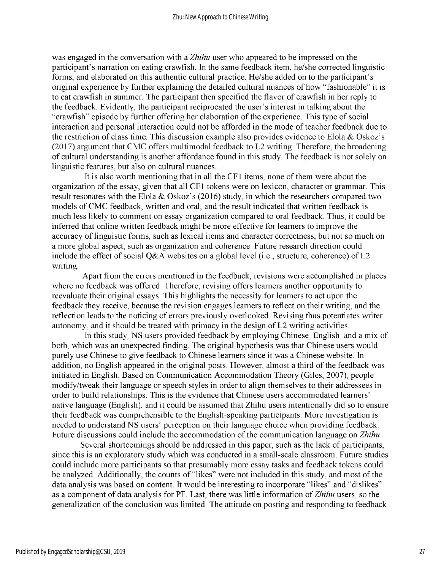was engaged in the conversation with a *Zhihu* user who appeared to be impressed on the participant's narration on eating crawfish. In the same feedback item, he/she corrected linguistic forms, and elaborated on this authentic cultural practice. He/she added on to the participant's original experience by further explaining the detailed cultural nuances of how "fashionable" it is to eat crawfish in summer. The participant then specified the flavor of crawfish in her reply to the feedback. Evidently, the participant reciprocated the user's interest in talking about the "crawfish" episode by further offering her elaboration of the experience. This type of social interaction and personal interaction could not be afforded in the mode of teacher feedback due to the restriction of class time. This discussion example also provides evidence to Elola & Oskoz's (2017) argument that CMC offers multimodal feedback to L2 writing. Therefore, the broadening of cultural understanding is another affordance found in this study. The feedback is not solely on linguistic features, but also on cultural nuances.

It is also worth mentioning that in all the CF1 items, none of them were about the organization of the essay, given that all CF1 tokens were on lexicon, character or grammar. This result resonates with the Elola & Oskoz's (2016) study, in which the researchers compared two models of CMC feedback, written and oral, and the result indicated that written feedback is much less likely to comment on essay organization compared to oral feedback. Thus, it could be inferred that online written feedback might be more effective for learners to improve the accuracy of linguistic forms, such as lexical items and character correctness, but not so much on a more global aspect, such as organization and coherence. Future research direction could include the effect of social Q&A websites on a global level (i.e., structure, coherence) of  $L2$ writing.

Apart from the errors mentioned in the feedback, revisions were accomplished in places where no feedback was offered. Therefore, revising offers learners another opportunity to reevaluate their original essays. This highlights the necessity for learners to act upon the feedback they receive, because the revision engages learners to reflect on their writing, and the reflection leads to the noticing of errors previously overlooked. Revising thus potentiates writer autonomy, and it should be treated with primacy in the design of L2 writing activities.

In this study, NS users provided feedback by employing Chinese, English, and a mix of both, which was an unexpected finding. The original hypothesis was that Chinese users would purely use Chinese to give feedback to Chinese learners since it was a Chinese website. In addition, no English appeared in the original posts. However, almost a third of the feedback was initiated in English. Based on Communication Accommodation Theory (Giles, 2007), people modify/tweak their language or speech styles in order to align themselves to their addressees in order to build relationships. This is the evidence that Chinese users accommodated learners' native language (English), and it could be assumed that Zhihu users intentionally did so to ensure their feedback was comprehensible to the English-speaking participants. More investigation is needed to understand NS users' perception on their language choice when providing feedback. Future discussions could include the accommodation of the communication language on *Zhihu*.

Several shortcomings should be addressed in this paper, such as the lack of participants, since this is an exploratory study which was conducted in a small-scale classroom. Future studies could include more participants so that presumably more essay tasks and feedback tokens could be analyzed. Additionally, the counts of "likes" were not included in this study, and most of the data analysis was based on content. It would be interesting to incorporate "likes" and "dislikes" as a component of data analysis for PF. Last, there was little information of *Zhihu* users, so the generalization of the conclusion was limited. The attitude on posting and responding to feedback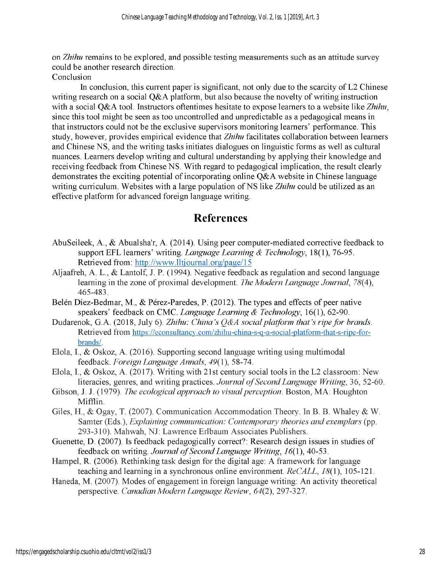on *Zhihu* remains to be explored, and possible testing measurements such as an attitude survey could be another research direction.

Conclusion

In conclusion, this current paper is significant, not only due to the scarcity of L2 Chinese writing research on a social Q&A platform, but also because the novelty of writing instruction with a social Q&A tool. Instructors oftentimes hesitate to expose learners to a website like *Zhihu*, since this tool might be seen as too uncontrolled and unpredictable as a pedagogical means in that instructors could not be the exclusive supervisors monitoring learners' performance. This study, however, provides empirical evidence that *Zhihu* facilitates collaboration between learners and Chinese NS, and the writing tasks initiates dialogues on linguistic forms as well as cultural nuances. Learners develop writing and cultural understanding by applying their knowledge and receiving feedback from Chinese NS. With regard to pedagogical implication, the result clearly demonstrates the exciting potential of incorporating online  $Q\&A$  website in Chinese language writing curriculum. Websites with a large population of NS like *Zhihu* could be utilized as an effective platform for advanced foreign language writing.

## **References**

- AbuSeileek, A., & Abualsha'r, A. (2014). Using peer computer-mediated corrective feedback to support EFL learners' writing. *Language Learning & Technology,* 18(1), 76-95. Retrieved from: [http://www.lltiournal.org/page/1](http://www.lltjournal.org/page/15)5
- Aljaafreh, A. L., & Lantolf, J. P. (1994). Negative feedback as regulation and second language learning in the zone of proximal development. *The Modern Language Journal, 78*(4), 465-483.
- Belén Diez-Bedmar, M., & Pérez-Paredes, P. (2012). The types and effects of peer native speakers' feedback on CMC. *Language Learning & Technology,* 16(1), 62-90.
- Dudarenok, G.A. (2018, July 6). *Zhihu: China's Q&A social platform that's ripe for brands.* Retrieved from https://econsultancy.com/zhihu-china-s-q-a-social-platform-that-s-ripe-forbrands/.
- Elola, I., & Oskoz, A. (2016). Supporting second language writing using multimodal feedback. *Foreign Language Annals, 49(1),* 58-74.
- Elola, I., & Oskoz, A. (2017). Writing with 21st century social tools in the L2 classroom: New literacies, genres, and writing practices. *Journal ofSecondLanguage Writing,* 36, 52-60.
- Gibson, J. J. (1979). *The ecological approach to visual perception*. Boston, MA: Houghton Mifflin.
- Giles, H., & Ogay, T. (2007). Communication Accommodation Theory. In B. B. Whaley & W. Samter (Eds.), *Explaining communication: Contemporary theories and exemplars* (pp. 293-310). Mahwah, NJ: Lawrence Erlbaum Associates Publishers.
- Guenette, D. (2007). Is feedback pedagogically correct?: Research design issues in studies of feedback on writing. *Journal ofSecondLanguage Writing, 16*(1), 40-53.
- Hampel, R. (2006). Rethinking task design for the digital age: A framework for language teaching and learning in a synchronous online environment. *ReCALL, 18*(1), 105-121.
- Haneda, M. (2007). Modes of engagement in foreign language writing: An activity theoretical perspective. *Canadian Modern Language Review, 64*(2), 297-327.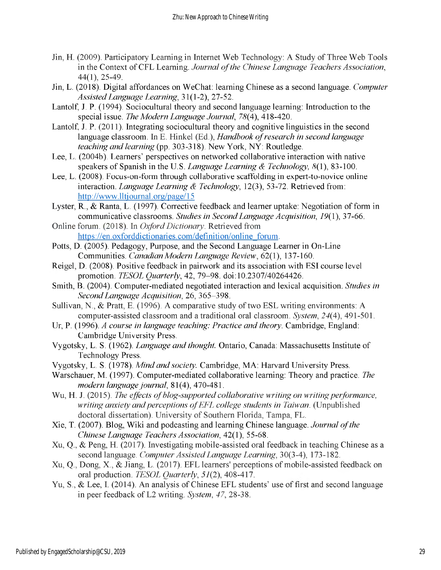- Jin, H. (2009). Participatory Learning in Internet Web Technology: A Study of Three Web Tools in the Context ofCFL Learning. *Journal ofthe Chinese Language Teachers Association,* 44(1), 25-49.
- Jin, L. (2018). Digital affordances on WeChat: learning Chinese as a second language. *Computer AssistedLanguage Learning,* 31(1-2), 27-52.
- Lantolf, J. P. (1994). Sociocultural theory and second language learning: Introduction to the special issue. *The Modern Language Journal, 78*(4), 418-420.
- Lantolf, J. P. (2011). Integrating sociocultural theory and cognitive linguistics in the second language classroom. In E. Hinkel (Ed.), *Handbook ofresearch in second language teaching and learning* (pp. 303-318). New York, NY: Routledge.
- Lee, L. (2004b). Learners' perspectives on networked collaborative interaction with native speakers of Spanish in the U.S. *Language Learning & Technology, 8*(1), 83-100.
- Lee, L. (2008). Focus-on-form through collaborative scaffolding in expert-to-novice online interaction. *Language Learning & Technology*, 12(3), 53-72. Retrieved from: http://www.lltj[ournal.org/page/15](http://www.lltjournal.org/page/15)
- Lyster, R., & Ranta, L. (1997). Corrective feedback and learner uptake: Negotiation of form in communicative classrooms. *Studies in SecondLanguage Acquisition, 19*(1), 37-66.
- Online forum. (2018). In *OxfordDictionary.* Retrieved from [https://en.oxforddictionaries.com/definition/online\\_forum](https://en.oxforddictionaries.com/definition/online_forum).
- Potts, D. (2005). Pedagogy, Purpose, and the Second Language Learner in On-Line Communities. *Canadian Modern Language Review,* 62(1), 137-160.
- Reigel, D. (2008). Positive feedback in pairwork and its association with ESI course level promotion. *TESOL Quarterly,* 42, 79-98. doi:10.2307/40264426.
- Smith, B. (2004). Computer-mediated negotiated interaction and lexical acquisition. *Studies in SecondLanguage Acquisition*, 26, 365-398.
- Sullivan, N., & Pratt, E. (1996). A comparative study of two ESL writing environments: A computer-assisted classroom and a traditional oral classroom. *System, 24*(4), 491-501.
- Ur, P. (1996). *A course in language teaching: Practice and theory*. Cambridge, England: Cambridge University Press.
- Vygotsky, L. S. (1962). *Language and thought.* Ontario, Canada: Massachusetts Institute of Technology Press.
- Vygotsky, L. S. (1978). *Mind and society.* Cambridge, MA: Harvard University Press.
- Warschauer, M. (1997). Computer-mediated collaborative learning: Theory and practice. *The modern language journal*, 81(4), 470-481.
- Wu, H. J. (2015). *The effects ofblog-supported collaborative writing on writingperformance, writing anxiety andperceptions ofEFL college students in Taiwan.* (Unpublished doctoral dissertation). University of Southern Florida, Tampa, FL.
- Xie, T. (2007). Blog, Wiki and podcasting and learning Chinese language. *Journal ofthe Chinese Language Teachers Association*, 42(1), 55-68.
- Xu, Q., & Peng, H. (2017). Investigating mobile-assisted oral feedback in teaching Chinese as a second language. *Computer AssistedLanguage Learning,* 30(3-4), 173-182.
- Xu, Q., Dong, X., & Jiang, L. (2017). EFL learners' perceptions of mobile-assisted feedback on oral production. *TESOL Quarterly, 51(2),* 408-417.
- Yu, S., & Lee, I. (2014). An analysis of Chinese EFL students' use of first and second language in peer feedback of L2 writing. *System, 47,* 28-38.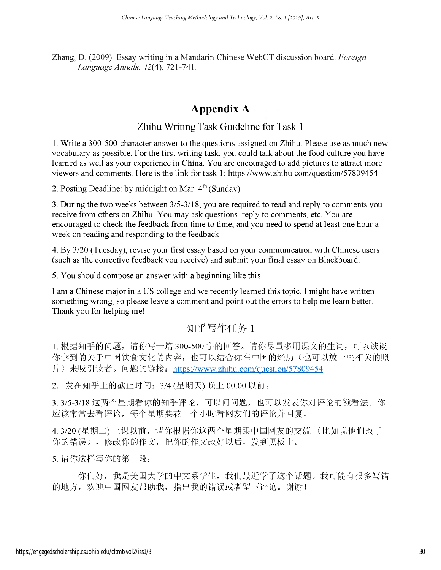Zhang, D. (2009). Essay writing in a Mandarin Chinese WebCT discussion board. *Foreign Language Annals, 42(4),* 721 -741.

## **Appendix A**

### Zhihu Writing Task Guideline for Task <sup>1</sup>

1. Write a 300-500-character answer to the questions assigned on Zhihu. Please use as much new vocabulary as possible. For the first writing task, you could talk about the food culture you have learned as well as your experience in China. You are encouraged to add pictures to attract more viewers and comments. Here is the link for task 1: <https://www.zhihu.com/question/57809454>

2. Posting Deadline: by midnight on Mar.  $4<sup>th</sup>$  (Sunday)

3. During the two weeks between 3/5-3/18, you are required to read and reply to comments you receive from others on Zhihu. You may ask questions, reply to comments, etc. You are encouraged to check the feedback from time to time, and you need to spend at least one hour a week on reading and responding to the feedback

4. By 3/20 (Tuesday), revise your first essay based on your communication with Chinese users (such as the corrective feedback you receive) and submit your final essay on Blackboard.

5. You should compose an answer with a beginning like this:

I am a Chinese major in a US college and we recently learned this topic. I might have written something wrong, so please leave a comment and point out the errors to help me learn better. Thank you for helping me!

## 知乎写作任务 1

1. 根据知乎的问题, 请你写一篇 300-500 字的回答。请你尽量多用课文的生词, 可以谈谈 你学到的关于中国饮食文化的内容,也可以结合你在中国的经历(也可以放一些相关的照 片) 来吸引读者。问题的链接: <https://www.zhihu.com/question/57809454>

2. 发在知乎上的截止时间: 3/4 (星期天) 晚上 00:00 以前。

3. 3/5-3/18 这两个星期看你的知乎评论,可以问问题,也可以发表你对评论的额看法。你 应该常常去看评论, 每个星期要花一个小时看网友们的评论并回复。

4. 3/20 (星期二) 上课以前,请你根据你这两个星期跟中国网友的交流 (比如说他们改了 你的错误),修改你的作文,把你的作文改好以后,发到黑板上。

5. 请你这样写你的第一段:

你们好, 我是美国大学的中文系学生, 我们最近学了这个话题。我可能有很多写错 的地方, 欢迎中国网友帮助我, 指出我的错误或者留下评论。谢谢!